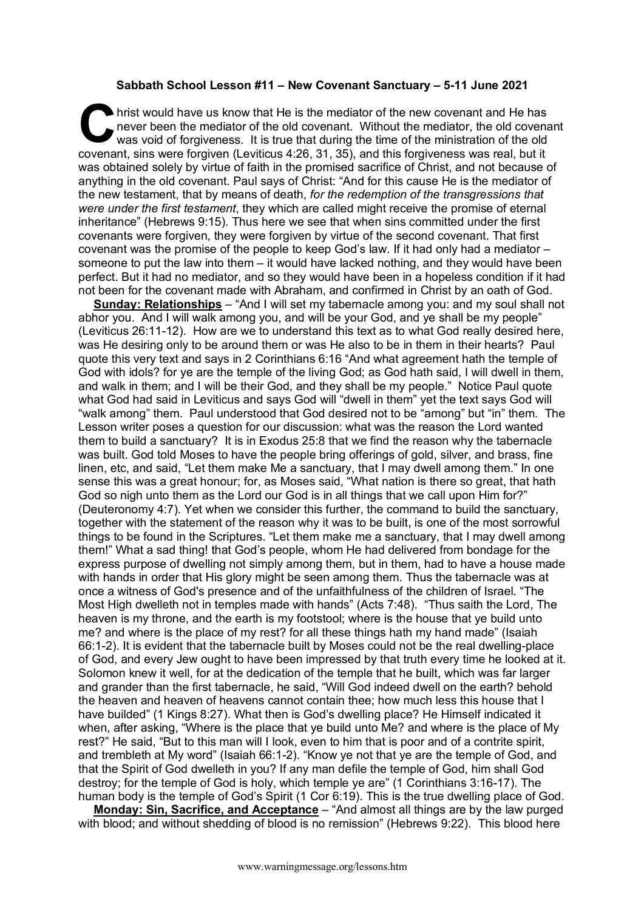## **Sabbath School Lesson #11 – New Covenant Sanctuary – 5-11 June 2021**

**h** hrist would have us know that He is the mediator of the new covenant and He has never been the mediator of the old covenant. Without the mediator, the old covenant was void of forgiveness. It is true that during the time of the ministration of the old **Covenant** would have us know that He is the mediator of the new covenant and He has never been the mediator of the old covenant. Without the mediator, the old covenant was void of forgiveness. It is true that during the t was obtained solely by virtue of faith in the promised sacrifice of Christ, and not because of anything in the old covenant. Paul says of Christ: "And for this cause He is the mediator of the new testament, that by means of death, *for the redemption of the transgressions that were under the first testament*, they which are called might receive the promise of eternal inheritance" (Hebrews 9:15). Thus here we see that when sins committed under the first covenants were forgiven, they were forgiven by virtue of the second covenant. That first covenant was the promise of the people to keep God's law. If it had only had a mediator – someone to put the law into them – it would have lacked nothing, and they would have been perfect. But it had no mediator, and so they would have been in a hopeless condition if it had not been for the covenant made with Abraham, and confirmed in Christ by an oath of God.

**Sunday: Relationships** – "And I will set my tabernacle among you: and my soul shall not abhor you. And I will walk among you, and will be your God, and ye shall be my people" (Leviticus 26:11-12). How are we to understand this text as to what God really desired here, was He desiring only to be around them or was He also to be in them in their hearts? Paul quote this very text and says in 2 Corinthians 6:16 "And what agreement hath the temple of God with idols? for ye are the temple of the living God; as God hath said, I will dwell in them, and walk in them; and I will be their God, and they shall be my people." Notice Paul quote what God had said in Leviticus and says God will "dwell in them" yet the text says God will "walk among" them. Paul understood that God desired not to be "among" but "in" them. The Lesson writer poses a question for our discussion: what was the reason the Lord wanted them to build a sanctuary? It is in Exodus 25:8 that we find the reason why the tabernacle was built. God told Moses to have the people bring offerings of gold, silver, and brass, fine linen, etc, and said, "Let them make Me a sanctuary, that I may dwell among them." In one sense this was a great honour; for, as Moses said, "What nation is there so great, that hath God so nigh unto them as the Lord our God is in all things that we call upon Him for?" (Deuteronomy 4:7). Yet when we consider this further, the command to build the sanctuary, together with the statement of the reason why it was to be built, is one of the most sorrowful things to be found in the Scriptures. "Let them make me a sanctuary, that I may dwell among them!" What a sad thing! that God's people, whom He had delivered from bondage for the express purpose of dwelling not simply among them, but in them, had to have a house made with hands in order that His glory might be seen among them. Thus the tabernacle was at once a witness of God's presence and of the unfaithfulness of the children of Israel. "The Most High dwelleth not in temples made with hands" (Acts 7:48). "Thus saith the Lord, The heaven is my throne, and the earth is my footstool; where is the house that ye build unto me? and where is the place of my rest? for all these things hath my hand made" (Isaiah 66:1-2). It is evident that the tabernacle built by Moses could not be the real dwelling-place of God, and every Jew ought to have been impressed by that truth every time he looked at it. Solomon knew it well, for at the dedication of the temple that he built, which was far larger and grander than the first tabernacle, he said, "Will God indeed dwell on the earth? behold the heaven and heaven of heavens cannot contain thee; how much less this house that I have builded" (1 Kings 8:27). What then is God's dwelling place? He Himself indicated it when, after asking, "Where is the place that ye build unto Me? and where is the place of My rest?" He said, "But to this man will I look, even to him that is poor and of a contrite spirit, and trembleth at My word" (Isaiah 66:1-2). "Know ye not that ye are the temple of God, and that the Spirit of God dwelleth in you? If any man defile the temple of God, him shall God destroy; for the temple of God is holy, which temple ye are" (1 Corinthians 3:16-17). The human body is the temple of God's Spirit (1 Cor 6:19). This is the true dwelling place of God.

**Monday: Sin, Sacrifice, and Acceptance** – "And almost all things are by the law purged with blood; and without shedding of blood is no remission" (Hebrews 9:22). This blood here